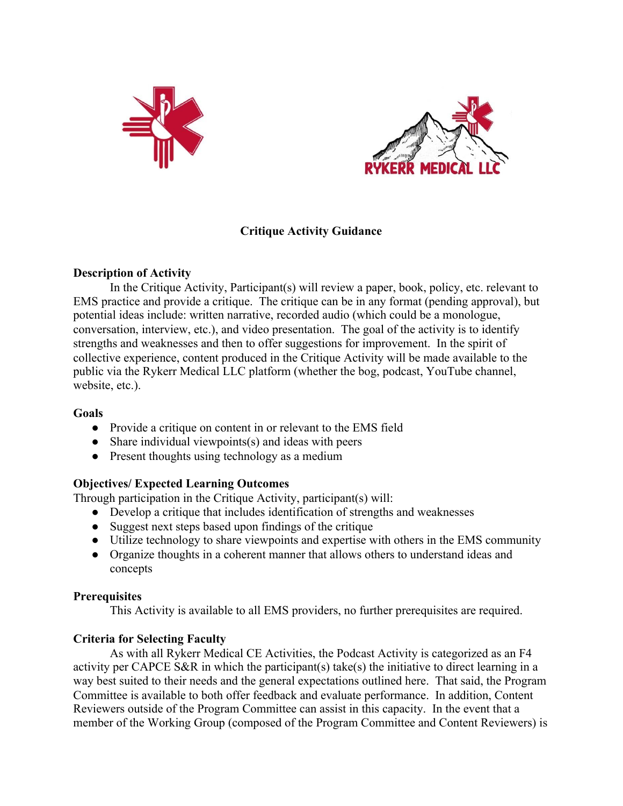



# **Critique Activity Guidance**

#### **Description of Activity**

In the Critique Activity, Participant(s) will review a paper, book, policy, etc. relevant to EMS practice and provide a critique. The critique can be in any format (pending approval), but potential ideas include: written narrative, recorded audio (which could be a monologue, conversation, interview, etc.), and video presentation. The goal of the activity is to identify strengths and weaknesses and then to offer suggestions for improvement. In the spirit of collective experience, content produced in the Critique Activity will be made available to the public via the Rykerr Medical LLC platform (whether the bog, podcast, YouTube channel, website, etc.).

#### **Goals**

- Provide a critique on content in or relevant to the EMS field
- Share individual viewpoints(s) and ideas with peers
- Present thoughts using technology as a medium

# **Objectives/ Expected Learning Outcomes**

Through participation in the Critique Activity, participant(s) will:

- **●** Develop a critique that includes identification of strengths and weaknesses
- Suggest next steps based upon findings of the critique
- **●** Utilize technology to share viewpoints and expertise with others in the EMS community
- **●** Organize thoughts in a coherent manner that allows others to understand ideas and concepts

#### **Prerequisites**

This Activity is available to all EMS providers, no further prerequisites are required.

# **Criteria for Selecting Faculty**

As with all Rykerr Medical CE Activities, the Podcast Activity is categorized as an F4 activity per CAPCE S&R in which the participant(s) take(s) the initiative to direct learning in a way best suited to their needs and the general expectations outlined here. That said, the Program Committee is available to both offer feedback and evaluate performance. In addition, Content Reviewers outside of the Program Committee can assist in this capacity. In the event that a member of the Working Group (composed of the Program Committee and Content Reviewers) is